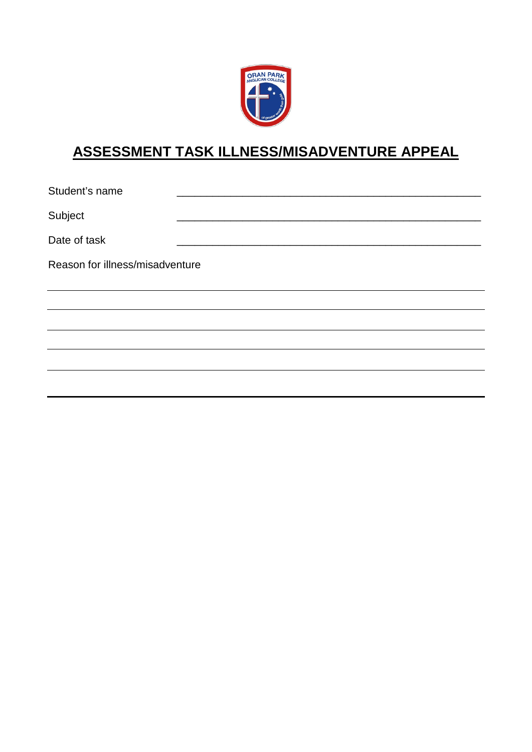

## **ASSESSMENT TASK ILLNESS/MISADVENTURE APPEAL**

Student's name Subject \_\_\_\_\_\_\_\_\_\_\_\_\_\_\_\_\_\_\_\_\_\_\_\_\_\_\_\_\_\_\_\_\_\_\_\_\_\_\_\_\_\_\_\_\_\_\_\_\_\_\_ Date of task Reason for illness/misadventure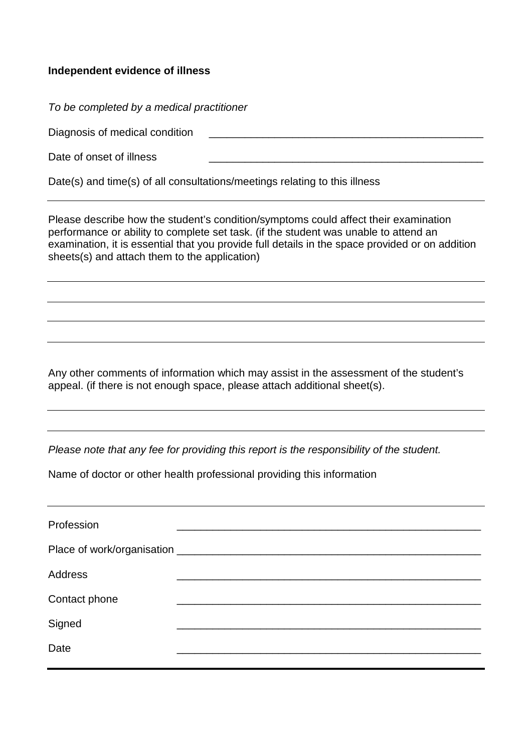## **Independent evidence of illness**

*To be completed by a medical practitioner*

Diagnosis of medical condition

Date of onset of illness

Date(s) and time(s) of all consultations/meetings relating to this illness

Please describe how the student's condition/symptoms could affect their examination performance or ability to complete set task. (if the student was unable to attend an examination, it is essential that you provide full details in the space provided or on addition sheets(s) and attach them to the application)

Any other comments of information which may assist in the assessment of the student's appeal. (if there is not enough space, please attach additional sheet(s).

*Please note that any fee for providing this report is the responsibility of the student.*

Name of doctor or other health professional providing this information

| Profession     |  |
|----------------|--|
|                |  |
| <b>Address</b> |  |
| Contact phone  |  |
| Signed         |  |
| Date           |  |